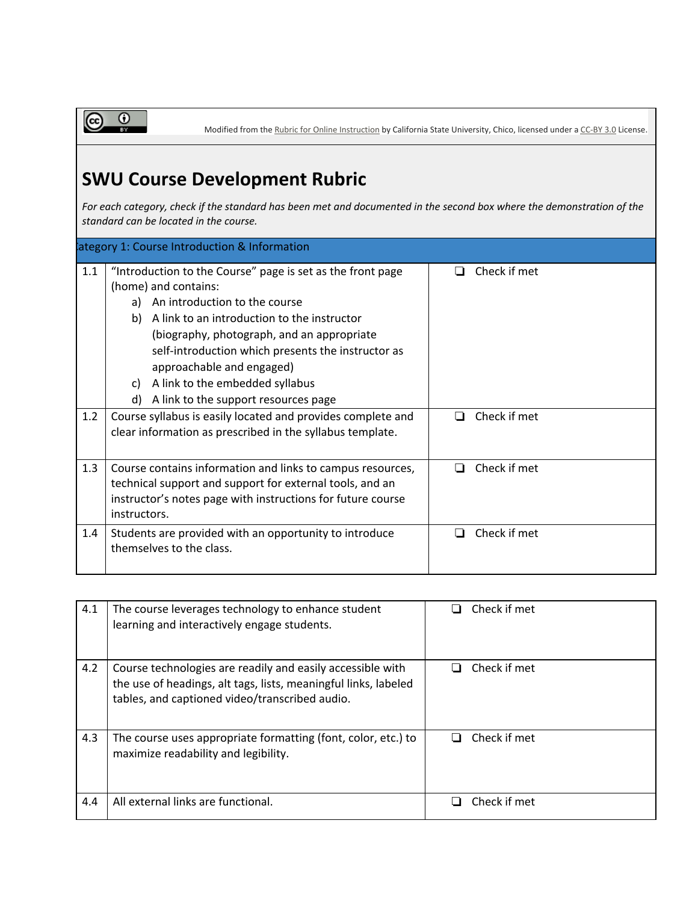Modified from the Rubric for Online [Instruction](http://www.csuchico.edu/eoi/the_rubric.shtml) by California State University, Chico, licensed under a [CC-BY](http://creativecommons.org/licenses/by/3.0/us/) 3.0 License.

## **SWU Course Development Rubric**

For each category, check if the standard has been met and documented in the second box where the demonstration of the *standard can be located in the course.*

| lategory 1: Course Introduction & Information |                                                                                                                                                                                                                                                                                                                                                                                                        |                   |  |  |
|-----------------------------------------------|--------------------------------------------------------------------------------------------------------------------------------------------------------------------------------------------------------------------------------------------------------------------------------------------------------------------------------------------------------------------------------------------------------|-------------------|--|--|
| 1.1                                           | "Introduction to the Course" page is set as the front page<br>(home) and contains:<br>An introduction to the course<br>a)<br>A link to an introduction to the instructor<br>b)<br>(biography, photograph, and an appropriate<br>self-introduction which presents the instructor as<br>approachable and engaged)<br>A link to the embedded syllabus<br>C)<br>A link to the support resources page<br>d) | Check if met      |  |  |
| 1.2                                           | Course syllabus is easily located and provides complete and<br>clear information as prescribed in the syllabus template.                                                                                                                                                                                                                                                                               | Check if met<br>П |  |  |
| 1.3                                           | Course contains information and links to campus resources,<br>technical support and support for external tools, and an<br>instructor's notes page with instructions for future course<br>instructors.                                                                                                                                                                                                  | Check if met      |  |  |
| 1.4                                           | Students are provided with an opportunity to introduce<br>themselves to the class.                                                                                                                                                                                                                                                                                                                     | Check if met      |  |  |

| 4.1 | The course leverages technology to enhance student<br>learning and interactively engage students.                                                                               | Check if met             |
|-----|---------------------------------------------------------------------------------------------------------------------------------------------------------------------------------|--------------------------|
| 4.2 | Course technologies are readily and easily accessible with<br>the use of headings, alt tags, lists, meaningful links, labeled<br>tables, and captioned video/transcribed audio. | Check if met             |
| 4.3 | The course uses appropriate formatting (font, color, etc.) to<br>maximize readability and legibility.                                                                           | Check if met<br><b>.</b> |
| 4.4 | All external links are functional.                                                                                                                                              | Check if met             |